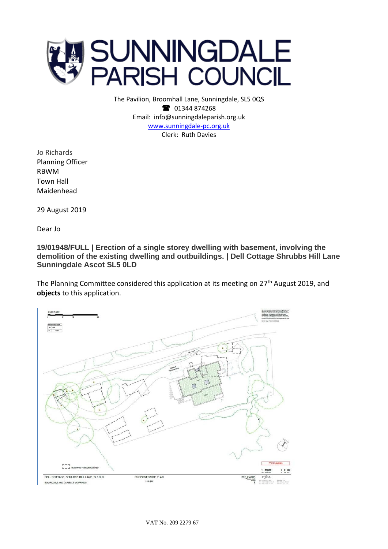

The Pavilion, Broomhall Lane, Sunningdale, SL5 0QS <sup>3</sup> 01344 874268 Email: info@sunningdaleparish.org.uk [www.sunningdale-pc.org.uk](http://www.sunningdale-pc.org.uk/) Clerk: Ruth Davies

Jo Richards Planning Officer RBWM Town Hall Maidenhead

29 August 2019

Dear Jo

**19/01948/FULL | Erection of a single storey dwelling with basement, involving the demolition of the existing dwelling and outbuildings. | Dell Cottage Shrubbs Hill Lane Sunningdale Ascot SL5 0LD**

The Planning Committee considered this application at its meeting on 27<sup>th</sup> August 2019, and **objects** to this application.